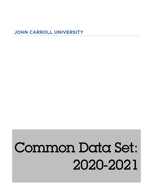# JOHN CARROLL UNIVERSITY

# Common Data Set: 2020-2021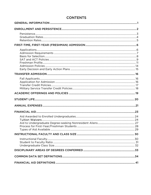# **CONTENTS**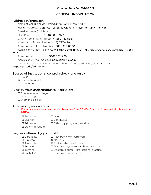# GENERAL INFORMATION

# <span id="page-2-0"></span>Address information

Name of College or University: John Carroll University

Mailing Address: 1 John Carroll Blvd., University Heights, OH 44118-4581

Street Address (if different):

Main Phone Number: (888) 388-2977

WWW Home Page Address: https://jcu.edu/

Admissions Phone Number: (216) 397-4294

Admissions Toll-free Number: (888) 335-6800

Admissions Office Mailing Addr: 1 John Carroll Blvd., ATTN Office of Admission, University Hts, OH 44118

Admissions Fax Number: (216) 397-4981

Admissions E-mail Address: admission@jcu.edu

If there is a separate URL for your school's online application, please specify:

## https://jcu.edu/admission

# Source of institutional control (check one only):

☐ Public ☒ Private (nonprofit)

☐ Proprietary

# Classify your undergraduate institution:

- ☒ Coeducational college
- ☐ Men's college
- ☐ Women's college

# Academic year calendar

 $\checkmark$  If your academic year has changed because of the COVID-19 pandemic, please indicate as other below.

| ⊠ Semester               | $\Box$ 4-1-4                          |
|--------------------------|---------------------------------------|
| $\Box$ Quarter           | $\Box$ Continuous                     |
| $\Box$ Trimester         | $\Box$ Differs by program (describe): |
| $\Box$ Other (describe): |                                       |

# Degrees offered by your institution

| $\Box$ Certificate  | $\Box$ Post-bachelor's certificate             |
|---------------------|------------------------------------------------|
| $\square$ Diploma   | ⊠ Master's                                     |
| $\square$ Associate | ⊠ Post-master's certificate                    |
| $\Box$ Transfer     | □ Doctoral degree research/scholarship         |
| $\Box$ Terminal     | $\Box$ Doctoral degree - professional practice |
| ⊠ Bachelor's        | $\Box$ Doctoral degree - other                 |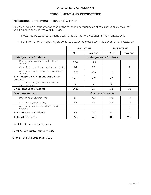# ENROLLMENT AND PERSISTENCE

# <span id="page-3-0"></span>Institutional Enrollment - Men and Women

Provide numbers of students for each of the following categories as of the institution's official fall reporting date or as of October 15, 2020.

- $\checkmark$  Note: Report students formerly designated as "first professional" in the graduate cells.
- For information on reporting study abroad students please see: [This Document at NCES.GOV](https://nces.ed.gov/ipeds/pdf/Reporting_Study_Abroad%20Students_5.31.17.pdf)

|                                                        | <b>FULL-TIME</b>         |                 | PART-TIME              |       |
|--------------------------------------------------------|--------------------------|-----------------|------------------------|-------|
|                                                        | Men                      | Women           | Men                    | Women |
| Undergraduate Students                                 |                          |                 | Undergraduate Students |       |
| Degree-seeking, first-time freshmen<br>students        | 336                      | 295             |                        |       |
| Other first-year, degree-seeking students              | 24                       | 22              |                        |       |
| All other degree-seeking undergraduate<br>students     | 1,067                    | 959             | 22                     | 11    |
| Total degree-seeking undergraduate<br>students         | 1,427                    | 1,276           | 22                     | 12    |
| All other undergraduates enrolled in<br>credit courses | 6                        | 5               | 6                      | 17    |
| Undergraduate Students                                 | 1,433                    | 1,281           | 28                     | 29    |
| Graduate Students                                      | <b>Graduate Students</b> |                 |                        |       |
| Degree-seeking, first-time                             | 51                       | 10 <sub>3</sub> | 29                     | 52    |
| All other degree-seeking                               | 33                       | 67              | 52                     | 116   |
| All other graduates enrolled in credit<br>courses      |                          |                 |                        | 4     |
| <b>Total Graduate Students</b>                         | 84<br>170<br>81          |                 | 172 <sub>1</sub>       |       |
| <b>Total All Students</b>                              | 1,517                    | 1,451           | 109                    | 201   |

Total All Undergraduates: 2,771

Total All Graduate Students: 507

Grand Total All Students: 3,278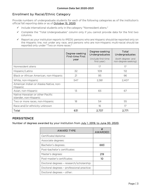# Enrollment by Racial/Ethnic Category

Provide numbers of undergraduate students for each of the following categories as of the institution's official fall reporting date or as of October 15, 2020.

- $\checkmark$  Include international students only in the category "Nonresident aliens."
- $\checkmark$  Complete the "Total Undergraduates" column only if you cannot provide data for the first two columns.
- $\checkmark$  Report as your institution reports to IPEDS: persons who are Hispanic should be reported only on the Hispanic line, not under any race, and persons who are non-Hispanic multi-racial should be reported only under "Two or more races."

|                                                            | Degree-seeking<br>First-time First<br>year | Degree-seeking<br>Undergraduates<br>(include first-time)<br>first-year) | Total<br>Undergraduates<br>(both degree- and<br>non-degree-seeking) |
|------------------------------------------------------------|--------------------------------------------|-------------------------------------------------------------------------|---------------------------------------------------------------------|
| Nonresident aliens                                         |                                            | 17                                                                      | 17                                                                  |
| Hispanic/Latino                                            | 32                                         | 109                                                                     | 112                                                                 |
| Black or African American, non-Hispanic                    | 21                                         | 95                                                                      | 96                                                                  |
| White, non-Hispanic                                        | 547                                        | 2,381                                                                   | 2,407                                                               |
| American Indian or Alaska Native, non-<br>Hispanic         |                                            |                                                                         |                                                                     |
| Asian, non-Hispanic                                        | 13                                         | 65                                                                      | 67                                                                  |
| Native Hawaiian or other Pacific<br>Islander, non-Hispanic |                                            |                                                                         |                                                                     |
| Two or more races, non-Hispanic                            | 18                                         | 54                                                                      | 55                                                                  |
| Race and/or ethnicity unknown                              |                                            | 16                                                                      | 17                                                                  |
| Total                                                      | 631                                        | 2,737                                                                   | 2,771                                                               |

# <span id="page-4-0"></span>**PERSISTENCE**

Number of degrees awarded by your institution from July 1, 2019, to June 30, 2020.

| AWARD TYPE                                | AWARDED |
|-------------------------------------------|---------|
| Certificate/diploma:                      |         |
| Associate degrees:                        |         |
| Bachelor's degrees:                       | 683     |
| Post-bachelor's certificates:             |         |
| Master's degrees:                         | 219     |
| Post-master's certificates:               | 10      |
| Doctoral degrees - research/scholarship:  |         |
| Doctoral degrees - professional practice: |         |
| Doctoral degrees - other:                 |         |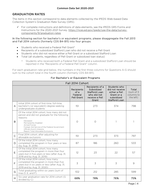# <span id="page-5-0"></span>GRADUATION RATES

The items in this section correspond to data elements collected by the IPEDS Web-based Data Collection System's Graduation Rate Survey (GRS).

 $\checkmark$  For complete instructions and definitions of data elements, see the IPEDS GRS Forms and Instructions for the 2020-2021 Survey. [https://nces.ed.gov/ipeds/use-the-data/survey](https://nces.ed.gov/ipeds/use-the-data/survey-components/9/graduation-rates)[components/9/graduation-rates](https://nces.ed.gov/ipeds/use-the-data/survey-components/9/graduation-rates)

#### In the following section for bachelor's or equivalent programs, please disaggregate the Fall 2013 and Fall 2014 cohorts (formerly CDS B4-B11) into four groups:

- Students who received a Federal Pell Grant\*
- Recipients of a subsidized Stafford Loan who did not receive a Pell Grant
- Students who did not receive either a Pell Grant or a subsidized Stafford Loan
- Total (all students, regardless of Pell Grant or subsidized loan status)
	- \* Students who received both a Federal Pell Grant and a subsidized Stafford Loan should be reported in the "Recipients of a Federal Pell Grant" column.

For each graduation rate grid below, the numbers in the first three columns for Questions A-G should sum to the cohort total in the fourth column (formerly CDS B4-B11).

| Fall 2014 Cohort |                                                                                                                                                                                                                                                                                  |                                             |                                                                                          |                                                                                               |                                                  |
|------------------|----------------------------------------------------------------------------------------------------------------------------------------------------------------------------------------------------------------------------------------------------------------------------------|---------------------------------------------|------------------------------------------------------------------------------------------|-----------------------------------------------------------------------------------------------|--------------------------------------------------|
|                  |                                                                                                                                                                                                                                                                                  | Recipients<br>of a<br>Federal<br>Pell Grant | Recipients of a<br>Subsidized<br>Stafford Loan<br>who did not<br>receive a Pell<br>Grant | Students who<br>did not receive<br>either a Pell<br>Grant or a<br>subsidized<br>Stafford Loan | Total<br>$(sum of 3)$<br>columns to<br>the left) |
| A                | Initial 2014 cohort of first-time, full-time,<br>bachelor's (or equivalent) degree-seeking<br>undergraduate students                                                                                                                                                             | 151                                         | 273                                                                                      | 374                                                                                           | 798                                              |
| B                | Of the initial 2014 cohort, how many did not<br>persist and did not graduate for the following<br>reasons:<br>Deceased<br>Permanently Disabled<br>Armed Forces<br>Foreign Aid Service of the Federal Government<br>Official church missions<br>Report Total Allowable Exclusions | $\circ$                                     | $\circ$                                                                                  | 1                                                                                             |                                                  |
| $\overline{C}$   | Final 2014 cohort, after adjusting for<br>allowable exclusions                                                                                                                                                                                                                   | 151                                         | 273                                                                                      | 373                                                                                           | 797                                              |
| D                | Of the initial 2014 cohort, how many<br>completed the program in four years or less<br>(by Aug. 31, 2018)                                                                                                                                                                        | 87                                          | 186                                                                                      | 260                                                                                           | 533                                              |
| E                | Of the initial 2014 cohort, how many<br>completed the program in more than four<br>years but in five years or less (after Aug. 31,<br>2018 and by Aug. 31, 2019)                                                                                                                 | 12                                          | 23                                                                                       | 22                                                                                            | 57                                               |
| F                | Of the initial 2014 cohort, how many<br>completed the program in more than five<br>years but in six years or less (after Aug. 31,<br>2019 and by Aug. 31, 2020)                                                                                                                  | 3                                           | 3                                                                                        | $\overline{3}$                                                                                | 9                                                |
| G                | Total graduating within six years (sum of<br>lines D, E, and F)                                                                                                                                                                                                                  | 102                                         | 212                                                                                      | 285                                                                                           | 599                                              |
| H.               | Six-year graduation rate for 2014 cohort (G<br>divided by C)                                                                                                                                                                                                                     | 68%                                         | 78%                                                                                      | 76%                                                                                           | 75%                                              |

## For Bachelor's or Equivalent Programs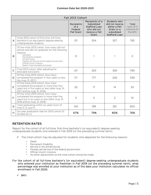| Fall 2013 Cohort |                                                                                                                                                                                                                                                                                  |                                             |                                                                                                 |                                                                                               |                                               |
|------------------|----------------------------------------------------------------------------------------------------------------------------------------------------------------------------------------------------------------------------------------------------------------------------------|---------------------------------------------|-------------------------------------------------------------------------------------------------|-----------------------------------------------------------------------------------------------|-----------------------------------------------|
|                  |                                                                                                                                                                                                                                                                                  | Recipients<br>of a<br>Federal<br>Pell Grant | Recipients of a<br>Subsidized<br><b>Stafford Loan</b><br>who did not<br>receive a Pell<br>Grant | Students who<br>did not receive<br>either a Pell<br>Grant or a<br>subsidized<br>Stafford Loan | Total<br>(sum of 3<br>columns to<br>the left) |
| A                | Initial 2013 cohort of first-time, full-time,<br>bachelor's (or equivalent) degree-seeking<br>undergraduate students                                                                                                                                                             | 211                                         | 254                                                                                             | 327                                                                                           | 792                                           |
| B                | Of the initial 2013 cohort, how many did not<br>persist and did not graduate for the following<br>reasons:<br>Deceased<br>Permanently Disabled<br>Armed Forces<br>Foreign Aid Service of the Federal Government<br>Official church missions<br>Report Total Allowable Exclusions | $\bigcirc$                                  |                                                                                                 | 1                                                                                             | $\overline{2}$                                |
| $\mathsf{C}$     | Final 2013 cohort, after adjusting for<br>allowable exclusions                                                                                                                                                                                                                   | 211                                         | 253                                                                                             | 326                                                                                           | 790                                           |
| D                | Of the initial 2013 cohort, how many<br>completed the program in four years or less<br>(by Aug. 31, 2017)                                                                                                                                                                        | 117                                         | 177                                                                                             | 245                                                                                           | 539                                           |
| E                | Of the initial 2013 cohort, how many<br>completed the program in more than four<br>years but in five years or less (after Aug. 31,<br>2017 and by Aug. 31, 2018)                                                                                                                 | 22                                          | 17                                                                                              | 14                                                                                            | 53                                            |
| F                | Of the initial 2013 cohort, how many<br>completed the program in more than five<br>years but in six years or less (after Aug. 31,<br>2018 and by Aug. 31, 2019)                                                                                                                  | 3                                           | 5                                                                                               | $\overline{2}$                                                                                | 10                                            |
| G                | Total graduating within six years (sum of<br>lines D, E, and F)                                                                                                                                                                                                                  | 142                                         | 199                                                                                             | 261                                                                                           | 602                                           |
| H                | Six-year graduation rate for 2013 cohort (G<br>divided by C)                                                                                                                                                                                                                     | 67%                                         | 79%                                                                                             | 80%                                                                                           | 76%                                           |

# <span id="page-6-0"></span>RETENTION RATES

Report for the cohort of all full-time, first-time bachelor's (or equivalent) degree-seeking undergraduate students who entered in Fall 2019 (or the preceding summer term).

- $\checkmark$  The initial cohort may be adjusted for students who departed for the following reasons:
	- \* Death<br>\* Perma
	- \* Permanent Disability<br>\* Service in the armod:
	- \* Service in the armed forces<br>\* Foreign aid service of the fe
	- \* Foreign aid service of the federal government
	- Official church missions
	- \* No other adjustments to the initial cohort should be made.
- For the cohort of all full-time bachelor's (or equivalent) degree-seeking undergraduate students who entered your institution as freshmen in Fall 2019 (or the preceding summer term), what percentage was enrolled at your institution as of the date your institution calculates its official enrollment in Fall 2020.

 $\times$  84%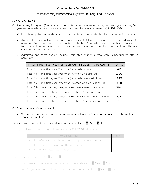# FIRST-TIME, FIRST-YEAR (FRESHMAN) ADMISSION

# <span id="page-7-1"></span><span id="page-7-0"></span>APPLICATIONS

- C1. First-time, first-year (freshman) students: Provide the number of degree-seeking, first-time, firstyear students who applied, were admitted, and enrolled (full- or part-time) in Fall 2020.
	- $\checkmark$  Include early decision, early action, and students who began studies during summer in this cohort.
	- $\checkmark$  Applicants should include only those students who fulfilled the requirements for consideration for admission (i.e., who completed actionable applications) and who have been notified of one of the following actions: admission, non-admission, placement on waiting list, or application withdrawn (by applicant or institution).
	- $\checkmark$  Admitted applicants should include wait-listed students who were subsequently offered admission.

| FIRST-TIME, FIRST YEAR (FRESHMAN) STUDENT APPLICANTS                  | <b>TOTAL</b> |
|-----------------------------------------------------------------------|--------------|
| Total first-time, first-year (freshman) men who applied               | 1,810        |
| Total first-time, first-year (freshman) women who applied             | 1,800        |
| Total first-time, first-year (freshman) men who were admitted         | 1,583        |
| Total first-time, first-year (freshman) women who were admitted       | 1,588        |
| Total full-time, first-time, first-year (freshman) men who enrolled   | 336          |
| Total part-time, first-time, first-year (freshman) men who enrolled   | O            |
| Total full-time, first-time, first-year (freshman) women who enrolled | 295          |
| Total part-time, first-time, first-year (freshman) women who enrolled | O            |

#### C2. Freshman wait-listed students

 $\checkmark$  Students who met admission requirements but whose final admission was contingent on space availability)

Do you have a policy of placing students on a waiting list?  $\Box$  Yes  $\boxtimes$  No

If yes, please answer the questions below for Fall 2020 admissions:

| WAITING LIST                                                    | $\Gamma$ otals |
|-----------------------------------------------------------------|----------------|
| Number of qualified applicants offered a place on waiting list: |                |
| Number accepting a place on the waiting list:                   |                |
| Number of wait-listed students admitted:                        |                |

| Is your waiting list ranked? $\Box$ Yes $\Box$ No |  |
|---------------------------------------------------|--|
|                                                   |  |

⇒ If yes, do you release that information to students? □ Yes □ No

⇒ Do you release that information to school counselors? □ Yes □ No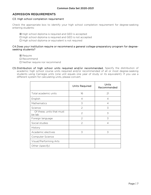# <span id="page-8-0"></span>ADMISSION REQUIREMENTS

#### C3. High school completion requirement

Check the appropriate box to identify your high school completion requirement for degree-seeking entering students:

- ☒ High school diploma is required and GED is accepted
- ☐ High school diploma is required and GED is not accepted
- ☐ High school diploma or equivalent is not required

#### C4. Does your institution require or recommend a general college-preparatory program for degreeseeking students?

- **⊠ Require**
- ☐ Recommend
- ☐ Neither require nor recommend
- C5. Distribution of high school units required and/or recommended. Specify the distribution of academic high school course units required and/or recommended of all or most degree-seeking students using Carnegie units (one unit equals one year of study or its equivalent). If you use a different system for calculating units, please convert.

|                                     | Units Required | Units<br>Recommended |
|-------------------------------------|----------------|----------------------|
| Total academic units                | 16             | 21                   |
| English                             | $\overline{4}$ | 4                    |
| Mathematics                         | 3              | 4                    |
| Science                             | $\mathcal{P}$  | 3                    |
| Of these, units that must<br>be lab | 2              | 3                    |
| Foreign language                    | 2              | 3                    |
| Social studies                      | $\mathcal{P}$  | $\overline{4}$       |
| History                             |                |                      |
| Academic electives                  | 3              | 3                    |
| Computer Science                    |                |                      |
| Visual/Performing Arts              |                |                      |
| Other (specify)                     |                |                      |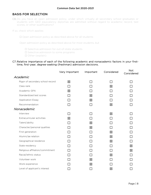# <span id="page-9-0"></span>BASIS FOR SELECTION

C6. Do you have an open admission policy, under which virtually all secondary school graduates or students with GED equivalency diplomas are admitted without regard to academic record, test scores, or other qualifications?

If so, check which applies:

□ Open admission policy as described above for all students

Open admission policy as described above for most students, but

☐ Selective admission for out-of-state students

☐ Selective admission to some programs

☐ Other (explain):

C7. Relative importance of each of the following academic and nonacademic factors in your firsttime, first-year, degree-seeking (freshman) admission decisions.

|                                  | Very Important | Important | Considered | <b>Not</b><br>Considered |
|----------------------------------|----------------|-----------|------------|--------------------------|
| <i>Academic</i>                  |                |           |            |                          |
| Rigor of secondary school record | 冈              |           |            |                          |
| Class rank                       |                |           | 冈          |                          |
| Academic GPA                     | 区              |           |            |                          |
| Standardized test scores         |                | ⊠         |            |                          |
| <b>Application Essay</b>         |                | 区         |            |                          |
| Recommendation                   |                |           | 区          |                          |
| Nonacademic                      |                |           |            |                          |
| Interview                        |                |           | 区          |                          |
| Extracurricular activities       | 区              |           |            |                          |
| Talent/ability                   |                | 区         |            |                          |
| Character/personal qualities     |                | 区         |            |                          |
| First generation                 |                |           | 冈          |                          |
| Alumni/ae relation               |                |           | 区          |                          |
| Geographical residence           |                |           | 冈          |                          |
| State residency                  |                |           |            | 区                        |
| Religious affiliation/commitment |                |           |            | 図                        |
| Racial/ethnic status             |                |           | 冈          |                          |
| Volunteer work                   |                | 冈         |            |                          |
| Work experience                  |                | 冈         |            |                          |
| Level of applicant's interest    |                |           | 区          |                          |
|                                  |                |           |            |                          |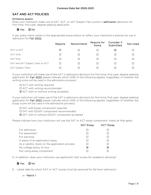# <span id="page-10-0"></span>SAT AND ACT POLICIES

## Entrance exams

Does your institution make use of SAT, ACT, or SAT Subject Test scores in admission decisions for first-time, first-year, degree-seeking applicants:

# ☒ Yes ☐ No

If yes, place check marks in the appropriate boxes below to reflect your institution's policies for use in admission for Fall 2022.

|                                  | Require | Recommend | Require for<br>Some | Consider if<br>Submitted | Not Used |
|----------------------------------|---------|-----------|---------------------|--------------------------|----------|
| SAT or ACT                       | ⊠       | □         |                     | 図                        |          |
| <b>ACT Only</b>                  |         | П         | П                   |                          |          |
| SAT Only                         |         | □         | □                   |                          |          |
| SAT and SAT Subject Tests or ACT |         | П         | П                   |                          |          |
| <b>SAT Subject Tests</b>         |         | П         |                     |                          |          |

If your institution will make use of the ACT in admission decisions for first-time, first-year, degree-seeking applicants for Fall 2022 please indicate which ONE of the following applies (regardless of whether the writing score will be used in the admissions process):

- ☐ ACT with writing required
- ☐ ACT with writing recommended
- ☒ ACT with or without writing accepted

If your institution will make use of the SAT in admission decisions for first-time, first-year, degree-seeking applicants for Fall 2022 please indicate which ONE of the following applies (regardless of whether the Essay score will be used in the admissions process):

- ☐ SAT with Essay component required
- ☐ SAT with ESSAY component recommended
- ☒ SAT with or without ESSAY component accepted

Please indicate how your institution will use the SAT or ACT essay component; check all that apply.

|                                                | <b>SAT Essay</b> | <b>ACT Essay</b> |
|------------------------------------------------|------------------|------------------|
| For admission                                  |                  |                  |
| For placement                                  |                  |                  |
| For advising                                   |                  |                  |
| In place of an application essay               |                  |                  |
| As a validity check on the application process |                  |                  |
| No college policy of now                       | ⊠                | ⊠                |
| Not using essay component                      |                  |                  |

D. In addition, does your institution use applicants' test scores for academic advising?

# ☒ Yes ☐ No

E. Latest date by which SAT or ACT scores must be received for fall-term admission:

⇒ March 1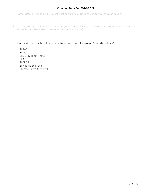Latest date by which SAT Subject Test scores must be received for fall-term admission:

⇒

F. If necessary, use this space to clarify your test policies (e.g., if tests are recommended for some students, or if tests are not required of some students):

⇒

G. Please indicate which tests your institution uses for placement (e.g., state tests):

☒ SAT ☒ ACT ☐ SAT Subject Tests ☒ AP ☒ CLEP

- ☒ Institutional Exam
- ☐ State Exam (specify):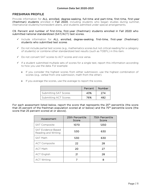#### <span id="page-12-0"></span>FRESHMAN PROFILE

Provide information for ALL enrolled, degree-seeking, full-time and part-time, first-time, first-year (freshman) students enrolled in Fall 2020, including students who began studies during summer, international students/nonresident aliens, and students admitted under special arrangements.

C9. Percent and number of first-time, first-year (freshman) students enrolled in Fall 2020 who submitted national standardized (SAT/ACT) test scores.

- $\checkmark$  Include information for ALL enrolled, degree-seeking, first-time, first-year (freshman) students who submitted test scores.
- $\checkmark$  Do not include partial test scores (e.g., mathematics scores but not critical reading for a category of students) or combine other standardized test results (such as TOEFL) in this item.
- Do not convert SAT scores to ACT scores and vice versa.
- $\checkmark$  If a student submitted multiple sets of scores for a single test, report this information according to how you use the data. For example:
	- If you consider the highest scores from either submission, use the highest combination of scores (e.g., verbal from one submission, math from the other).
	- If you average the scores, use the average to report the scores.

|                              | Percent | Number |
|------------------------------|---------|--------|
| <b>Submitting SAT Scores</b> | 43%     | 274    |
| Submitting ACT Scores        | 76%     | 482    |

For each assessment listed below, report the score that represents the 25<sup>th</sup> percentile (the score that 25 percent of the freshman population scored at or below) and the 75<sup>th</sup> percentile score (the score that 25 percent scored at or above).

| Assessment                                       | 25th Percentile<br>Score | 75th Percentile<br>Score |
|--------------------------------------------------|--------------------------|--------------------------|
| <b>SAT Composite</b>                             | 1070                     | 1250                     |
| <b>SAT Evidence-Based</b><br>Reading and Writing | 530                      | 630                      |
| <b>SAT Math</b>                                  | 530                      | 630                      |
| <b>ACT Composite</b>                             | 22                       | 28                       |
| <b>ACT Math</b>                                  | 20                       | 27                       |
| <b>ACT English</b>                               | 21                       | 28                       |
| <b>ACT Writing</b>                               | 7                        | 8                        |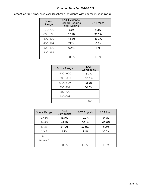|  |  |  |  | Percent of first-time, first-year (freshman) students with scores in each range: |
|--|--|--|--|----------------------------------------------------------------------------------|
|--|--|--|--|----------------------------------------------------------------------------------|

| Score<br>Range | <b>SAT Evidence-</b><br><b>Based Reading</b><br>and Writing | <b>SAT Math</b> |
|----------------|-------------------------------------------------------------|-----------------|
| 700-800        | 5.8%                                                        | 6.2%            |
| 600-699        | 36.1%                                                       | 37.2%           |
| 500-599        | 44.6%                                                       | 45.3%           |
| 400-499        | 13.1%                                                       | 10.2%           |
| 300-399        | 0.4%                                                        | 1.1%            |
| 200-299        |                                                             |                 |
|                | 100%                                                        | 100%            |

| Score Range | <b>SAT</b><br>Composite |
|-------------|-------------------------|
| 1400-1600   | 3.7%                    |
| 1200-1399   | 33.9%                   |
| 1000-1199   | 51.8%                   |
| 800-999     | 10.6%                   |
| 600-799     |                         |
| 400-599     |                         |
|             | 100%                    |

| <b>Score Range</b> | <b>ACT</b><br>Composite | <b>ACT English</b> | <b>ACT Math</b> |
|--------------------|-------------------------|--------------------|-----------------|
| 30-36              | 16.0%                   | 19.9%              | 9.5%            |
| $24 - 29$          | 47.1%                   | 36.1%              | 48.6%           |
| $18 - 23$          | 34.0%                   | 36.9%              | 31.3%           |
| $12 - 17$          | 2.9%                    | 7.1%               | 10.6%           |
| $6-11$             |                         |                    |                 |
| Below 6            |                         |                    |                 |
|                    | 100%                    | 100%               | 100%            |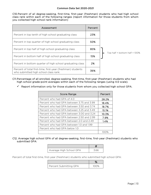C10. Percent of all degree-seeking, first-time, first-year (freshman) students who had high school class rank within each of the following ranges (report information for those students from whom you collected high school rank information)

| Assessment                                                                                           | Percent |  |
|------------------------------------------------------------------------------------------------------|---------|--|
| Percent in top tenth of high school graduating class                                                 | 23%     |  |
| Percent in top quarter of high school graduating class                                               | 50%     |  |
| Percent in top half of high school graduating class                                                  | 85%     |  |
| Percent in bottom half of high school graduating class                                               | 15%     |  |
| Percent in bottom quarter of high school graduating class                                            | 2%      |  |
| Percent of total first-time, first-year (freshman) students<br>who submitted high school class rank: | 36%     |  |

 $\blacksquare$  Top half + bottom half = 100%

- C11. Percentage of all enrolled, degree-seeking, first-time, first-year (freshman) students who had high school grade-point averages within each of the following ranges (using 4.0 scale).
	- $\checkmark$  Report information only for those students from whom you collected high school GPA.

| Score Range                               | Percent   |
|-------------------------------------------|-----------|
| Percent who had GPA of 4.0                | 28.2%     |
| Percent who had GPA between 3.75 and 3.99 | 18.4%     |
| Percent who had GPA between 3.50 and 3.74 | 18.7%     |
| Percent who had GPA between 3.25 and 3.49 | 15.1%     |
| Percent who had GPA between 3.00 and 3.24 | 10.3%     |
| Percent who had GPA between 2.50 and 2.99 | 7.9%      |
| Percent who had GPA between 2.0 and 2.49  | 1.4%      |
| Percent who had GPA between 1.0 and 1.99  |           |
| Percent who had GPA below 1.0             |           |
|                                           | $(()()$ % |

#### C12. Average high school GPA of all degree-seeking, first-time, first-year (freshman) students who submitted GPA:

| Average High School GPA | 366 |
|-------------------------|-----|

Percent of total first-time, first-year (freshman) students who submitted high school GPA:

| Percent Submitting GPA | 100% |
|------------------------|------|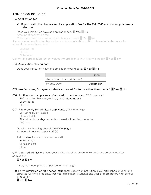# <span id="page-15-0"></span>ADMISSION POLICIES

## C13. Application fee

 $\checkmark$  If your institution has waived its application fee for the Fall 2021 admission cycle please select no.

### Does your institution have an application fee? □ Yes ⊠ No

Amount of application fee:

Can it be waived for applicants with financial need? ☐ Yes ☐ No

If you have an application fee and an on-line application option, please indicate policy for students who apply on-line:

☐ Same Fee

☐ Free

☐ Reduced

Can on-line application fee be waived for applicants with financial need? □ Yes □ No

## C14. Application closing date

Does your institution have an application closing date?  $\square$  Yes  $\square$  No

|                                 | Date       |
|---------------------------------|------------|
| Application closing date (fall) |            |
| <b>Priority Date</b>            | December 1 |

## C15. Are first-time, first-year students accepted for terms other than the fall?  $\boxtimes$  Yes  $\Box$  No

#### C16.Notification to applicants of admission decision sent *(fill in one only)*

⊠ On a rolling basis beginning (date): November 1 ☐ By (date): ☐ Other:

#### C17. Reply policy for admitted applicants *(fill in one only)*

☐ Must reply by (date): ☐ No set date ☒ Must reply by May 1 or within 4 weeks if notified thereafter ☐ Other:

Deadline for housing deposit (MMDD): May 1 Amount of housing deposit: \$300

Refundable if student does not enroll?

☒ Yes, in full

☐ Yes, in part

☐ No

C18. Deferred admission: Does your institution allow students to postpone enrollment after admission?

# ☒ Yes ☐ No

If yes, maximum period of postponement: 1 year

C19. Early admission of high school students: Does your institution allow high school students to enroll as full-time, first-time, first-year (freshman) students one year or more before high school graduation?

☒ Yes ☐ No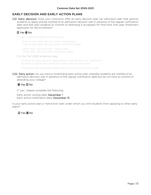# <span id="page-16-0"></span>EARLY DECISION AND EARLY ACTION PLANS

C21. Early decision: Does your institution offer an early decision plan (an admission plan that permits students to apply and be notified of an admission decision well in advance of the regular notification date and that asks students to commit to attending if accepted) for first-time, first-year (freshman) applicants for fall enrollment?

# ☐ Yes ☒ No

If "yes," please complete the following:

First or only early decision plan closing date: First or only early decision plan notification date:

Other early decision plan closing date: Other early decision plan notification date:

#### For the Fall 2020 entering class:

Number of early decision applications received by your institution: Number of applicants admitted under early decision plan:

Please provide significant details about your early decision plan:

C22. Early action: Do you have a nonbinding early action plan whereby students are notified of an admission decision well in advance of the regular notification date but do not have to commit to attending your college?

# ☒ Yes ☐ No

If "yes," please complete the following:

Early action closing date: December 1 Early action notification date: December 15

Is your early action plan a "restrictive" plan under which you limit students from applying to other early plans?

# ☐ Yes ☒ No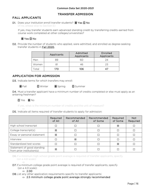# TRANSFER ADMISSION

# <span id="page-17-1"></span><span id="page-17-0"></span>FALL APPLICANTS

D1. Does your institution enroll transfer students? ⊠ Yes □ No (If no, please skip to Section E)

If yes, may transfer students earn advanced standing credit by transferring credits earned from course work completed at other colleges/universities?

# ☒ Yes ☐ No

D2. Provide the number of students who applied, were admitted, and enrolled as degree-seeking transfer students in Fall 2020.

|       | Applicants | Admitted<br>Applicants | Enrolled<br>Applicants |
|-------|------------|------------------------|------------------------|
| Men   | 89         | 6C                     | 24                     |
| Women |            | 46                     | 23                     |
| `otal | 170        | 106                    |                        |

# <span id="page-17-2"></span>APPLICATION FOR ADMISSION

D3. Indicate terms for which transfers may enroll:

**⊠** Fall □ Winter **⊠** Spring □ Summer

D4. Must a transfer applicant have a minimum number of credits completed or else must apply as an entering freshman?

☐ Yes ☒ No

If yes, what is the minimum number of credits and the unit of measure?

⇒ D5. Indicate all items required of transfer students to apply for admission:

|                                                         | Required<br>of All | Recommended<br>of All | Recommended<br>of Some | Required<br>of Some | <b>Not</b><br>Required |
|---------------------------------------------------------|--------------------|-----------------------|------------------------|---------------------|------------------------|
| High school transcript                                  |                    |                       |                        | 区                   |                        |
| College transcript(s)                                   | 区                  |                       |                        |                     |                        |
| Essay or personal statement                             | 区                  |                       |                        |                     |                        |
| Interview                                               |                    | 区                     |                        |                     |                        |
| Standardized test scores                                |                    |                       |                        | 冈                   |                        |
| Statement of good standing<br>from prior institution(s) | ⊠                  |                       |                        |                     |                        |

D6.If a minimum high school grade point average is required of transfer applicants, specify (on a 4.0 scale):

D7. If a minimum college grade point average is required of transfer applicants, specify (on a 4.0 scale):

$$
\Rightarrow\ 2.00
$$

⇒

D8.List any other application requirements specific to transfer applicants:

 $\Rightarrow$  2.5 minimum college grade point average strongly recommended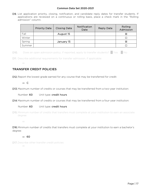D9. List application priority, closing, notification, and candidate reply dates for transfer students. If applications are reviewed on a continuous or rolling basis, place a check mark in the "Rolling admission" column.

|        | <b>Priority Date</b> | <b>Closing Date</b> | Notification<br>Date | <b>Reply Date</b> | Rolling<br>Admission |
|--------|----------------------|---------------------|----------------------|-------------------|----------------------|
| Fall   |                      | August 15           |                      |                   | 区                    |
| Winter |                      |                     |                      |                   |                      |
| Spring |                      | January 15          |                      |                   | 区                    |
| Summer |                      |                     |                      |                   |                      |

D10. Does an open admission policy, if reported, apply to transfer students? ■ Yes ■ No

D11. Describe additional requirements for transfer admission, if applicable:

# <span id="page-18-0"></span>TRANSFER CREDIT POLICIES

D12.Report the lowest grade earned for any course that may be transferred for credit:

# ⇒ C

⇒

D13. Maximum number of credits or courses that may be transferred from a two-year institution:

Number: 60 Unit type: credit hours

D14.Maximum number of credits or courses that may be transferred from a four-year institution:

## Number: 60 Unit type: credit hours

D15.Minimum number of credits that transfers must complete at your institution to earn an associate degree:

⇒

D16.Minimum number of credits that transfers must complete at your institution to earn a bachelor's degree:

## ⇒ 60

D17.Describe other transfer credit policies: ⇒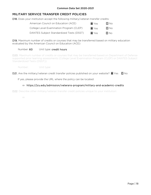# <span id="page-19-0"></span>MILITARY SERVICE TRANSFER CREDIT POLICIES

D18. Does your institution accept the following military/veteran transfer credits:

| American Council on Education (ACE)      | <b>X</b> Yes | $\Box$ No    |
|------------------------------------------|--------------|--------------|
| College Level Examination Program (CLEP) | <b>X</b> Yes | $\square$ No |
| DANTES Subject Standardized Tests (DSST) | <b>X</b> Yes | $\Box$ No    |

D19. Maximum number of credits or courses that may be transferred based on military education evaluated by the American Council on Education (ACE):

## Number: 60 Unit type: credit hours

D20. Maximum number of credits or courses that may be transferred based on Department of Defense supported prior learning assessments (College Level Examination Program (CLEP) or DANTES Subject Standardized Tests (DSST)):

Number: Unit type:

D21. Are the military/veteran credit transfer policies published on your website?  $\boxtimes$  Yes  $\Box$  No

If yes, please provide the URL where the policy can be located:

## ⇒ https://jcu.edu/admission/veterans-program/military-and-academic-credits

D22. Describe other military/veteran transfer credit policies unique to your institution:

⇒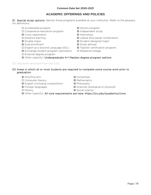# ACADEMIC OFFERINGS AND POLICIES

<span id="page-20-0"></span>E1. Special study options: Identify those programs available at your institution. Refer to the glossary for definitions.

- ☐ Accelerated program ☒ Honors program
- ☐ Cooperative education program ☒ Independent study
- **⊠** Cross-registration **Ⅱ** Internships
- 
- 
- ☒ Dual enrollment ☒ Study abroad
- ☐ English as a Second Language (ESL) ☒ Teacher certification program
- ☒ Exchange student program (domestic) ☐ Weekend college
- ☐ External degree program
- 
- 
- 
- ☐ Distance learning ☒ Liberal arts/career combination
- **⊠** Double major **in the mature of the M** Student-designed major
	-
	-
	-
- ☒ Other (specify): Undergraduate 4+1 Masters degree program options
- E2. Has been removed from the CDS.

## E3. Areas in which all or most students are required to complete some course work prior to graduation:

- **⊠** Arts/fine arts *■* **Arts/fine arts I**
- ☐ Computer literacy ☒ Mathematics
- ☒ English (including composition) ☒ Philosophy
- 
- 
- 
- 
- 
- ☒ Foreign languages ☒ Sciences (biological or physical)
- ☐ History ☒ Social science
- ☒ Other (specify): All core requirements are here: https://jcu.edu/academics/core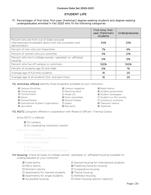## STUDENT LIFE

#### <span id="page-21-0"></span>F1. Percentages of first-time, first-year (freshman) degree-seeking students and degree-seeking undergraduates enrolled in Fall 2020 who fit the following categories:

|                                                                                                                       | First-time, first-<br>year (freshman)<br>students | <b>Undergraduates</b> |
|-----------------------------------------------------------------------------------------------------------------------|---------------------------------------------------|-----------------------|
| Percent who are from out of state (exclude<br>international/nonresident aliens from the numerator and<br>denominator) | 34%                                               | 33%                   |
| Percent of men who join fraternities                                                                                  | 7%                                                | 9%                    |
| Percent of women who join sororities                                                                                  | 5%                                                | 21%                   |
| Percent who live in college-owned, -operated, or -affiliated<br>housing                                               | O%                                                | O%                    |
| Percent who live off campus or commute                                                                                | 100%                                              | 100%                  |
| Percent of students age 25 and older                                                                                  | O%                                                | 1%                    |
| Average age of full-time students                                                                                     | 18                                                | 20                    |
| Average age of all students (full- and part-time)                                                                     | 18                                                | 20                    |

F2. Activities offered Identify those programs available at your institution.

| <b>⊠</b> Literary magazine | ⊠ Radio stat        |
|----------------------------|---------------------|
| □ Marching band            | ⊠ Student g         |
| □ Model UN                 | ⊠ Student n         |
| <b>⊠</b> Music ensembles   | $\Box$ Student-r    |
| <b>⊠</b> Musical theater   | $\square$ Symphon   |
| $\Box$ Opera               | <b>図 Television</b> |
| ⊠ Pep band                 | <b>⊠</b> Yearbook   |
|                            |                     |

**⊠** Radio station **⊠** Student government **⊠** Student newspaper **□ Student-run film society □ Symphony orchestra ⊠** Television station<br>**⊠** Yearbook

F3. ROTC (program offered in cooperation with Reserve Officers' Training Corps)

Army ROTC is offered:

#### ☒ On campus

☐ At cooperating institution (name):

Naval ROTC is offered:

- $\Box$  On campus
- ☐ At cooperating institution (name):

Air Force ROTC is offered:

☐ On campus

 $\Box$  At cooperating institution (name):

- F4. Housing: Check all types of college-owned, -operated, or -affiliated housing available for undergraduates at your institution.
	-
	-
	-
	- $\Box$  Apartments for married students  $\boxtimes$  Theme housing
	- ☒ Apartments for single students ☐ Wellness Housing
	-
	- ☒ Coed dorms ☐ Special housing for international students
	- ☐ Men's dorms ☒ Fraternity/sorority housing
	- ☐ Women's dorms ☐ Cooperative housing
		-
		-
	- ☒ Accessible housing ☐ Other housing options (specify):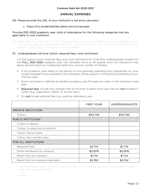## ANNUAL EXPENSES

#### <span id="page-22-0"></span>G0. Please provide the URL of your institution's net price calculator:

#### ⇒ https://jcu.studentaidcalculator.com/survey.aspx

#### Provide 2021-2022 academic year costs of attendance for the following categories that are applicable to your institution.

☐ Check here if your institution's 2021-2022 academic year costs of attendance are not available at this time and provide an approximate date (i.e., month/day) when your institution's final 2021-2022 academic year costs of attendance will be available:

#### ⇒ G1. Undergraduate full-time tuition, required fees, room and board

List the typical tuition, required fees, and room and board for a full-time undergraduate student for the FULL 2021-2022 academic year. (30 semester hours or 45 quarter hours for institutions that derive annual tuition by multiplying credit hour cost by number of credits).

- $\checkmark$  A full academic year refers to the period of time generally extending from September to June; usually equated to two semesters, two trimesters, three quarters, or the period covered by a fourone-four plan.
- $\checkmark$  Room and board is defined as double occupancy and 19 meals per week or the maximum meal plan.
- $\checkmark$  Required fees include only charges that all full-time students must pay that are *not* included in tuition (e.g., registration, health, or activity fees.)

|                                      | <b>FIRST-YEAR</b> | <b>UNDERGRADUATES</b> |
|--------------------------------------|-------------------|-----------------------|
| PRIVATE INSTITUTION                  |                   |                       |
| Tuition:                             | \$43,740          | \$43,740              |
| PUBLIC INSTITUTION                   |                   |                       |
| Tuition: In-district:                |                   |                       |
| Tuition: In-state (out-of-district): |                   |                       |
| Tuition: Out-of-state:               |                   |                       |
| Tuition: Non-resident alien          |                   |                       |
| FOR ALL INSTITUTIONS                 |                   |                       |
| <b>Required Fees</b>                 | \$1,774           | \$1,774               |
| Room and Board (on-campus):          | \$12,876          | \$12,876              |
| Room Only (on-campus):               | \$7,114           | \$7,114               |
| Board Only (on-campus meal plan):    | \$5,762           | \$5,762               |

 $\checkmark$  Do *not* include optional fees (e.g., parking, laboratory use).

Comprehensive tuition and room and board fee (if your college cannot provide separate tuition and room and board fees):

⇒ Other: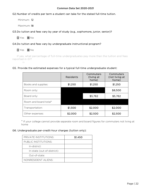## G2. Number of credits per term a student can take for the stated full-time tuition.

Minimum: 12

Maximum: 18

G3. Do tuition and fees vary by year of study (e.g., sophomore, junior, senior)?

☐ Yes ☒ No

## G4. Do tuition and fees vary by undergraduate instructional program?

# ☐ Yes ☒ No

 If yes, what percentage of full-time undergraduates pay more than the tuition and fees reported in G1?

⇒

## G5. Provide the estimated expenses for a typical full-time undergraduate student:

|                       | Residents | Commuters<br>(living at<br>home) | Commuters<br>(not living at<br>home) |
|-----------------------|-----------|----------------------------------|--------------------------------------|
| Books and supplies:   | \$1,250   | \$1,250                          | \$1,250                              |
| Room only:            |           |                                  | \$8,500                              |
| Board only:           |           | \$5,762                          | \$5,762                              |
| Room and board total* |           |                                  |                                      |
| Transportation:       | \$1,500   | \$2,000                          | \$2,000                              |
| Other expenses:       | \$2,000   | \$2,500                          | \$2,500                              |

\* If your college cannot provide separate room and board figures for commuters not living at home

## G6. Undergraduate per-credit-hour charges (tuition only):

| <b>PRIVATE INSTITUTIONS:</b> | \$1,450 |
|------------------------------|---------|
| PUBLIC INSTITUTIONS:         |         |
| In-district:                 |         |
| In-state (out-of-district):  |         |
| Out-of-state:                |         |
| NONRESIDENT ALIENS:          |         |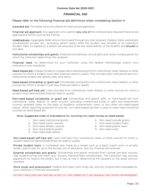# FINANCIAL AID

# <span id="page-24-0"></span>Please refer to the following financial aid definitions when completing Section H.

Awarded aid: The dollar amounts offered to financial aid applicants.

Financial aid applicant: Any applicant who submits any one of the institutionally required financial aid applications/forms, such as the FAFSA.

Indebtedness: Aggregate dollar amount borrowed through any loan program (federal, state, subsidized, unsubsidized, private, etc.; excluding parent loans) while the student was enrolled at an institution. Student loans co-signed by a parent are assumed to be the responsibility of the student and should be included.

Institutional scholarships and grants: Endowed scholarships, annual gifts and tuition funded grants for which the institution determines the recipient.

Financial need: As determined by your institution using the federal methodology and/or your institution's own standards.

Need-based aid: College-funded or college-administered award from institutional, state, federal, or other sources for which a student must have financial need to qualify. This includes both institutional and noninstitutional student aid (grants, jobs, and loans).

Need-based scholarship or grant aid: Scholarships and grants from institutional, state, federal, or other sources for which a student must have financial need to qualify.

Need-based self-help aid: Loans and jobs from institutional, state, federal, or other sources for which a student must demonstrate financial need to qualify.

Non-need-based scholarship or grant aid: Scholarships and grants, gifts, or merit-based aid from institutional, state, federal, or other sources (including unrestricted funds or gifts and endowment income) awarded solely on the basis of academic achievement, merit, or any other non-need-based reason. When reporting questions H1 and H2, non-need-based aid that is used to meet need should be counted as need-based aid.

## Note: Suggested order of precedence for counting non-need money as need-based:

- 1. Non-need institutional grants
- 2. Non-need tuition waivers
- 3. Non-need athletic awards
- 4. Non-need federal grants
- 5. Non-need state grants
- 6. Non-need outside grants
- 7. Non-need student loans
- 8. Non-need parent loans
- 9. Non-need work

Non-need-based self-help aid: Loans and jobs from institutional, state, or other sources for which a student need not demonstrate financial need to qualify.

Private student loans: A nonfederal loan made by a lender such as a bank, credit union or private lender used to pay for up to the annual cost of education, less any financial aid received.

External scholarships and grants: Scholarships and grants received from outside (private) sources that students bring with them (e.g., Kiwanis, National Merit scholarships). The institution may process paperwork to receive the dollars, but it has no role in determining the recipient or the dollar amount awarded.

Work study and employment: Federal and state work study aid, and any employment packaged by your institution in financial aid awards.

#### DO NOT INCLUDE ANY AID RELATED TO THE CARES ACT OR UNIQUE THE COVID-19 PANDEMIC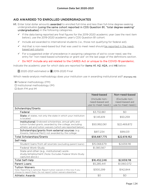# <span id="page-25-0"></span>AID AWARDED TO ENROLLED UNDERGRADUATES

- H1. Enter total dollar amounts awarded to enrolled full-time and less than full-time degree-seeking undergraduates (using the same cohort reported in CDS Question B1, "total degree-seeking" undergraduates) in the following categories.
	- $\checkmark$  If the data being reported are final figures for the 2019-2020 academic year (see the next item below), use the 2019-2020 academic year's CDS Question B1 cohort.
	- $\checkmark$  Include aid awarded to international students (i.e., those not qualifying for federal aid).
	- $\checkmark$  Aid that is non-need-based but that was used to meet need should be reported in the needbased aid column.
	- $\checkmark$  For a suggested order of precedence in assigning categories of aid to cover need, see the entry for "non-need-based scholarship or grant aid" on the last page of the definitions section.
	- $\checkmark$  Do NOT include any aid related to the CARES Act or unique to the COVID-19 pandemic.

Indicate the academic year for which data are reported for items H1, H2, H2A, and H6 below:

**□** 2020-2021 estimated or **⊠** 2019-2020 Final

Which needs-analysis methodology does your institution use in awarding institutional aid? (Formerly H3)

- ☒ Federal methodology (FM)
- ☐ Institutional methodology (IM)
- ☐ Both FM and IM

<span id="page-25-1"></span>

|                                                                                                                                                                                   | Need-based                                            | Non-need-based                                        |
|-----------------------------------------------------------------------------------------------------------------------------------------------------------------------------------|-------------------------------------------------------|-------------------------------------------------------|
|                                                                                                                                                                                   | (Include non-<br>need-based aid<br>use to meet need.) | (Exclude non-<br>need-based aid<br>use to meet need.) |
| Scholarships/Grants                                                                                                                                                               |                                                       |                                                       |
| Federal                                                                                                                                                                           | \$3,732,861                                           | \$0                                                   |
| State all states, not only the state in which your institution<br>is located                                                                                                      | \$1,145,619                                           | \$50,259                                              |
| Institutional: Endowed scholarships, annual gifts and<br>tuition funded grants, awarded by the college, excluding<br>athletic aid and tuition waivers (which are reported below). | \$50,992,061                                          | \$22,469,872                                          |
| Scholarships/grants from external sources (e.g.<br>Kiwanis, National Merit) not awarded by the college                                                                            | \$817,234                                             | \$99,031                                              |
| <b>Total Scholarships/Grants</b>                                                                                                                                                  | \$56,687,775                                          | \$22,619,162                                          |
| Self-Help                                                                                                                                                                         |                                                       |                                                       |
| Student loans from all sources (excluding parent loans)                                                                                                                           | \$15,068,679                                          | \$2,659,118                                           |
| Federal Work-Study                                                                                                                                                                | \$1,383,567                                           |                                                       |
| State and other (e.g., institutional) work-<br>study/employment (Note: Excludes Federal Work-Study<br>captured above.)                                                            |                                                       |                                                       |
| <b>Total Self-Help</b>                                                                                                                                                            | \$16,452,246                                          | \$2,659,118                                           |
| <b>Parent Loans</b>                                                                                                                                                               | \$5,285,441                                           | \$1,060,072                                           |
| <b>Tuition Waivers</b><br>Note: Reporting is optional. Report tuition waivers in this row if you<br>choose to report them. Do not report tuition waivers elsewhere.               | \$300,299                                             | \$142,844                                             |
| <b>Athletic Awards</b>                                                                                                                                                            | \$0                                                   | \$0                                                   |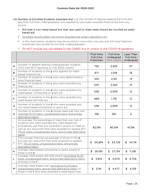H2. Number of Enrolled Students Awarded Aid: List the number of degree-seeking full-time and less-than-full-time undergraduates who applied for and were awarded financial aid from any source.

- $\checkmark$  Aid that is non-need-based but that was used to meet need should be counted as needbased aid.
- $\checkmark$  Numbers should reflect the cohort awarded the dollars reported in H1.
- $\checkmark$  In the chart below, students may be counted in more than one row, and full-time freshmen should also be counted as full-time undergraduates.
- $\checkmark$  Do NOT include any aid related to the CARES Act or unique to the COVID-19 pandemic.

|                |                                                                                                                                                                                                                                                                                              | First-time<br>Full-time<br>Freshmen | Full-time<br>Undergrad<br>(Incl. Fresh) | Less Than<br>Full-time<br>Undergrad |
|----------------|----------------------------------------------------------------------------------------------------------------------------------------------------------------------------------------------------------------------------------------------------------------------------------------------|-------------------------------------|-----------------------------------------|-------------------------------------|
| A              | Number of degree-seeking undergraduate students<br>(CDS Item B1 if reporting on Fall 2020 cohort)                                                                                                                                                                                            | 725                                 | 2,925                                   | 57                                  |
| B              | Number of students in line a who applied for need-<br>based financial aid                                                                                                                                                                                                                    | 671                                 | 2,518                                   | 18 <sup>°</sup>                     |
| $\overline{C}$ | Number of students in line b who were determined to<br>have financial need                                                                                                                                                                                                                   | 555                                 | 2,101                                   | 14                                  |
| D              | Number of students in line c who were awarded any<br>financial aid                                                                                                                                                                                                                           | 555                                 | 2,100                                   | 13                                  |
| E              | Number of students in line d who were awarded any<br>need-based scholarship or grant aid                                                                                                                                                                                                     | 536                                 | 2,050                                   | 12                                  |
| F              | Number of students in line <b>d</b> who were awarded any<br>need-based self-help aid                                                                                                                                                                                                         | 460                                 | 1,716                                   | 12                                  |
| G              | Number of students in line <b>d</b> who were awarded any<br>non-need-based scholarship or grant aid                                                                                                                                                                                          | 536                                 | 2,050                                   | 12                                  |
| Н.             | Number of students in line <b>d</b> whose need was fully met<br>(exclude PLUS loans, unsubsidized loans, and private<br>alternative loans)                                                                                                                                                   | 158                                 | 561                                     | $\circ$                             |
| L              | On average, the percentage of need that was met of<br>students who were awarded any need-based aid.<br>Exclude any aid that was awarded in excess of need as<br>well as any resources that were awarded to replace EFC<br>(PLUS loans, unsubsidized loans, and private alternative<br>loans) | 82.0%                               | 80.0%                                   | 41.0%                               |
| J              | The average financial aid package of those in line d.<br>Exclude any resources that were awarded to replace<br>EFC (PLUS loans, unsubsidized loans, and private<br>alternative loans)                                                                                                        | 34,954<br>\$                        | 33,729<br>\$                            | 14,176<br>\$                        |
| K.             | Average need-based scholarship or grant award of<br>those in line e                                                                                                                                                                                                                          | 29,195<br>\$                        | $\mathfrak{L}$<br>27,134                | 11,391<br>$\mathfrak{S}$            |
| L              | Average need-based self-help award (excluding PLUS<br>loans, unsubsidized loans, and private alternative loans)<br>of those in line f                                                                                                                                                        | \$3,914                             | 5,079<br>\$                             | 4,759<br>\$                         |
| M              | Average need-based loan (excluding PLUS loans.<br>unsubsidized loans, and private alternative loans) of<br>those in line f who were awarded a need-based loan                                                                                                                                | 3,161<br>S                          | 4,477<br>£.                             | \$<br>4,139                         |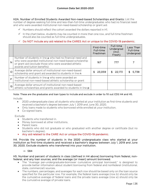H2A. Number of Enrolled Students Awarded Non-need-based Scholarships and Grants: List the number of degree-seeking full-time and less-than-full-time undergraduates who had no financial need and who were awarded institutional non-need-based scholarship or grant aid.

- $\checkmark$  Numbers should reflect the cohort awarded the dollars reported in H1.
- $\checkmark$  In the chart below, students may be counted in more than one row, and full-time freshmen should also be counted as full-time undergraduates.

### $\checkmark$  Do NOT include any aid related to the CARES Act or unique to the COVID-19 pandemic.

|                |                                                                                                                                                                                                                  | First-time<br>Full-time<br>Freshmen | Full-time<br>Undergrad<br>(Incl.<br>Fresh) | Less Than<br>Full-time<br>Undergrad |
|----------------|------------------------------------------------------------------------------------------------------------------------------------------------------------------------------------------------------------------|-------------------------------------|--------------------------------------------|-------------------------------------|
| N              | Number of students in line a who had no financial need and<br>who were awarded institutional non-need-based scholarship<br>or grant aid (exclude those who were awarded athletic<br>awards and tuition benefits) | 167                                 | 777                                        |                                     |
| $\circ$        | Average dollar amount of institutional non-need-based<br>scholarship and grant aid awarded to students in line n                                                                                                 | 23,059<br>\$.                       | \$22,173                                   | 5.738                               |
| $\overline{P}$ | Number of students in line a who were awarded an<br>institutional non-need-based athletic scholarship or grant                                                                                                   |                                     |                                            |                                     |
| $\mathsf Q$    | Average dollar amount of institutional non-need-based<br>athletic scholarships and grants awarded to students in line p                                                                                          |                                     |                                            |                                     |

#### Note: These are the graduates and loan types to include and exclude in order to fill out CDS H4 and H5.

Include:

- 2020 undergraduate class: all students who started at your institution as first-time students and received a bachelor's degree between July 1, 2019 and June 30, 2020.
- Only loans made to students who borrowed while enrolled at your institution.
- Co-signed loans.

Exclude:

- Students who transferred in.
- Money borrowed at other institutions.
- Parent loans
- Students who did not graduate or who graduated with another degree or certificate (but no bachelor's degree).
- Any aid related to the CARE Act or unique the COVID-19 pandemic.

H4. Provide the number of students in the 2020 undergraduate class who started at your institution as first-time students and received a bachelor's degree between July 1, 2019 and June 30, 2020. Exclude students who transferred into your institution.

⇒ 584

#### H5. Number and percent of students in class (defined in H4 above) borrowing from federal, nonfederal, and any loan sources, and the average (or mean) amount borrowed.

- The "Average per-undergraduate-borrower cumulative principal borrowed," is designed to provide better information about student borrowing from federal and nonfederal (institutional, state, commercial) sources.
- The numbers, percentages, and averages for each row should be based only on the loan source specified for the particular row. For example, the federal loans average (row b) should only be the cumulative average of federal loans and the private loans average (row e) should only be the cumulative average of private loans.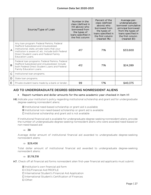|                | Source/Type of Loan                                                                                                                                                                                                                                       | Number in the<br>class (defined in<br>H4 above) who<br>borrowed from<br>the types of<br>loans specified in<br>the first column | Percent of the<br>class (defined<br>above) who<br>borrowed from<br>the types of<br>loans specified in<br>the first column<br>(nearest 1%) | Average per-<br>undergraduate-<br>borrower cumulative<br>principal borrowed<br>from the types of<br>loans specified in<br>the first column<br>(nearest \$1) |
|----------------|-----------------------------------------------------------------------------------------------------------------------------------------------------------------------------------------------------------------------------------------------------------|--------------------------------------------------------------------------------------------------------------------------------|-------------------------------------------------------------------------------------------------------------------------------------------|-------------------------------------------------------------------------------------------------------------------------------------------------------------|
| $\overline{A}$ | Any Ioan program: Federal Perkins, Federal<br>Stafford Subsidized and Unsubsidized,<br>institutional, state, private loans that your<br>institution is aware of, etc. Include both Federal<br>Direct Student Loans and Federal Family<br>Education Loans. | 417                                                                                                                            | 71%                                                                                                                                       | \$33,600                                                                                                                                                    |
| B              | Federal Ioan programs: Federal Perkins, Federal<br>Stafford Subsidized and Unsubsidized, Include<br>both Federal Direct Student Loans and Federal<br>Family Education Loans.                                                                              | 412                                                                                                                            | 71%                                                                                                                                       | \$24,289                                                                                                                                                    |
| C              | Institutional loan programs.                                                                                                                                                                                                                              |                                                                                                                                |                                                                                                                                           |                                                                                                                                                             |
| D              | State loan programs.                                                                                                                                                                                                                                      |                                                                                                                                |                                                                                                                                           |                                                                                                                                                             |
| E              | Private student loans made by a bank or lender.                                                                                                                                                                                                           | 99                                                                                                                             | 17%                                                                                                                                       | \$40.375                                                                                                                                                    |

# <span id="page-28-0"></span>AID TO UNDERGRADUATE DEGREE-SEEKING NONRESIDENT ALIENS

## • Report numbers and dollar amounts for the same academic year checked in item H1

H6. Indicate your institution's policy regarding institutional scholarship and grant aid for undergraduate degree-seeking nonresident aliens:

- ☒ Institutional need-based scholarship or grant aid is available
- ☒ Institutional non-need-based scholarship or grant aid is available
- ☐ Institutional scholarship and grant aid is not available

If institutional financial aid is available for undergraduate degree-seeking nonresident aliens, provide the number of undergraduate degree-seeking nonresident aliens who were awarded need-based or non-need-based aid:

## ⇒ 38

Average dollar amount of institutional financial aid awarded to undergraduate degree-seeking nonresident aliens:

## $\Rightarrow$  \$29.456

Total dollar amount of institutional financial aid awarded to undergraduate degree-seeking nonresident aliens:

## $\Rightarrow$  \$1,119,318

- H7. Check off all financial aid forms nonresident alien first-year financial aid applicants must submit:
	- ☒ Institution's own financial aid form
	- ☐ CSS/Financial Aid PROFILE
	- ☐ International Student's Financial Aid Application
	- ☐ International Student's Certification of Finances
	- ☐ Other: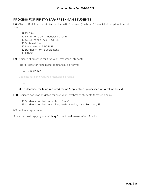# <span id="page-29-0"></span>PROCESS FOR FIRST-YEAR/FRESHMAN STUDENTS

H8. Check off all financial aid forms domestic first-year (freshman) financial aid applicants must submit:

☒ FAFSA

- ☐ Institution's own financial aid form
- ☐ CSS/Financial Aid PROFILE
- ☐ State aid form
- ☐ Noncustodial PROFILE
- ☐ Business/Farm Supplement
- ☐ Other:

H9. Indicate filing dates for first-year (freshman) students:

Priority date for filing required financial aid forms:

#### ⇒ December 1

Deadline for filing required financial aid forms:

⇒

#### ☒ No deadline for filing required forms (applications processed on a rolling basis)

H10. Indicate notification dates for first-year (freshman) students (answer a or b):

☐ Students notified on or about (date):

⊠ Students notified on a rolling basis. Starting date: February 15

H11. Indicate reply dates:

Students must reply by (date): May 1 or within 4 weeks of notification.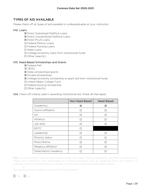# <span id="page-30-0"></span>TYPES OF AID AVAILABLE

Please check off all types of aid available to undergraduates at your institution:

### H12. Loans

- ☒ Direct Subsidized Stafford Loans
- ☒ Direct Unsubsidized Stafford Loans
- ☒ Direct PLUS Loans
- ☐ Federal Perkins Loans
- ☐ Federal Nursing Loans
- ☐ State Loans
- ☐ College/university loans from institutional funds
- ☐ Other (specify):

#### H13. Need Based Scholarships and Grants

- ☒ Federal Pell
- ☒ SEOG
- ☒ State scholarships/grants
- ☒ Private Scholarships
- ☒ College/university scholarship or grant aid from institutional funds
- ☐ United Negro College Fund
- ☐ Federal Nursing Scholarship
- ☐ Other (specify):

|                          | Non-Need Based | Need-Based |
|--------------------------|----------------|------------|
| Academics                | ⊠              | ⊠          |
| Alumni affiliation       |                |            |
| Art                      |                |            |
| <b>Athletics</b>         |                |            |
| Job skills               |                |            |
| <b>ROTC</b>              |                |            |
| Leadership               |                |            |
| Minority status          |                |            |
| Music/drama              |                |            |
| Religious affiliation    |                |            |
| State/district residency |                |            |

H14. Check off criteria used in awarding institutional aid. Check all that apply.

H15. If your institution has recently implemented any major financial aid policy, program, or initiative to make your institution more affordable to incoming students such as replacing loans with grants, or waiving costs for families below a certain income level please provide details below:

Are these policies related to the COVID-19 pandemic?

☐ Yes ☐ No

⇒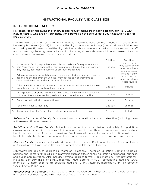# INSTRUCTIONAL FACULTY AND CLASS SIZE

# <span id="page-31-1"></span><span id="page-31-0"></span>INSTRUCTIONAL FACULTY

#### I-1. Please report the number of instructional faculty members in each category for Fall 2020. Include faculty who are on your institution's payroll on the census date your institution uses for IPEDS/AAUP.

The following definition of full-time instructional faculty is used by the American Association of University Professors (AAUP) in its annual Faculty Compensation Survey (the part time definitions are not used by AAUP). Instructional Faculty is defined as those members of the instructional-research staff whose major regular assignment is instruction, including those with released time for research. Use the chart below to determine inclusions and exclusions:

|              |                                                                                                                                                                                                                                      | Full-time | Part-time                                                                   |
|--------------|--------------------------------------------------------------------------------------------------------------------------------------------------------------------------------------------------------------------------------------|-----------|-----------------------------------------------------------------------------|
| $\forall$    | Instructional faculty in preclinical and clinical medicine, faculty who are not<br>paid (e.g., those who donate their services or are in the military), or research-<br>only faculty, post-doctoral fellows, or pre-doctoral fellows | Exclude   | Include only if<br>they teach one or<br>more non-clinical<br>credit courses |
| B            | Administrative officers with titles such as dean of students, librarian, registrar,<br>coach, and the like, even though they may devote part of their time to<br>classroom instruction and may have faculty status                   | Exclude   | Include if they<br>teach one or<br>more non-clinical<br>credit courses      |
| C            | Other administrators/staff who teach one or more non-clinical credit courses<br>even though they do not have faculty status                                                                                                          | Exclude   | Include                                                                     |
| $\mathsf{D}$ | Undergraduate or graduate students who assist in the instruction of courses,<br>but have titles such as teaching assistant, teaching fellow, and the like                                                                            | Exclude   | Exclude                                                                     |
| E            | Faculty on sabbatical or leave with pay                                                                                                                                                                                              | Include   | Exclude                                                                     |
| F            | Faculty on leave without pay                                                                                                                                                                                                         | Exclude   | Exclude                                                                     |
| G            | Replacement faculty for faculty on sabbatical leave or leave with pay                                                                                                                                                                | Exclude   | Include                                                                     |

Full-time instructional faculty: faculty employed on a full-time basis for instruction (including those with released time for research)

Part-time instructional faculty: Adjuncts and other instructors being paid solely for part-time classroom instruction. Also includes full-time faculty teaching less than two semesters, three quarters, two trimesters, or two four-month sessions. Employees who are not considered full-time instruction faculty but who teach one or more non-clinical credit courses may be counted as part-time faculty.

Minority faculty: includes faculty who designate themselves as Black, non-Hispanic; American Indian or Alaska Native; Asian, Native Hawaiian or other Pacific Islander, or Hispanic.

Doctorate: includes such degrees as Doctor of Philosophy, Doctor of Education, Doctor of Juridical Science, and Doctor of Public Health in any field such as arts, sciences, education, engineering, business, and public administration. Also includes terminal degrees formerly designated as "first professional," including dentistry (DDS or DMD), medicine (MD), optometry (OD), osteopathic medicine (DO), pharmacy (DPharm or BPharm), podiatric medicine (DPM), veterinary medicine (DVM), chiropractic (DC or DCM), or law (JD).

**Terminal master's degree:** a master's degree that is considered the highest degree in a field: example, M. Arch (in architecture) and MFA (master of fine arts in art or theater).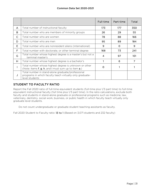|   |                                                                                                                                 | Full-time | Part-time | Total |
|---|---------------------------------------------------------------------------------------------------------------------------------|-----------|-----------|-------|
| A | Total number of instructional faculty                                                                                           | 173       | 177       | 350   |
| В | Total number who are members of minority groups                                                                                 | 26        | 29        | 55    |
| C | Total number who are women                                                                                                      | 78        | 88        | 166   |
| D | Total number who are men                                                                                                        | 95        | 89        | 184   |
| Е | Total number who are nonresident aliens (international)                                                                         | 9         | $\Omega$  | 9     |
| F | Total number with doctorate, or other terminal degree                                                                           | 168       | 73        | 241   |
| G | Total number whose highest degree is a master's but not a<br>terminal master's                                                  | 4         | 97        | 101   |
| H | Total number whose highest degree is a bachelor's                                                                               |           | 6         | 7     |
|   | Total number whose highest degree is unknown or other<br>(Note: Items f, g, h, and i must sum up to item a.)                    | O         |           |       |
| J | Total number in stand-alone graduate/professional<br>programs in which faculty teach virtually only graduate-<br>level students |           |           |       |

# <span id="page-32-0"></span>STUDENT TO FACULTY RATIO

Report the Fall 2020 ratio of full-time equivalent students (full-time plus 1/3 part time) to full-time equivalent instructional faculty (full time plus 1/3 part time). In the ratio calculations, exclude both faculty and students in stand-alone graduate or professional programs such as medicine, law, veterinary, dentistry, social work, business, or public health in which faculty teach virtually only graduate level students.

Do not count undergraduate or graduate student teaching assistants as faculty.

Fall 2020 Student to Faculty ratio: 13 to 1 (Based on 3,071 students and 232 faculty)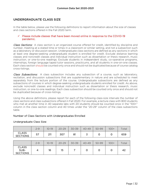# <span id="page-33-0"></span>UNDERGRADUATE CLASS SIZE

In the table below, please use the following definitions to report information about the size of classes and class sections offered in the Fall 2020 term.

#### Please include classes that have been moved online in response to the COVID-19 pandemic.

Class Sections: A class section is an organized course offered for credit, identified by discipline and number, meeting at a stated time or times in a classroom or similar setting, and not a subsection such as a laboratory or discussion session. Undergraduate class sections are defined as any sections in which at least one degree-seeking undergraduate student is enrolled for credit. Exclude distance learning classes and noncredit classes and individual instruction such as dissertation or thesis research, music instruction, or one-to-one readings. Exclude students in independent study, co-operative programs, internships, foreign language taped tutor sessions, practicums, and all students in one-on-one classes. Each class section should be counted only once and should not be duplicated because of course catalog cross-listings.

Class Subsections: A class subsection includes any subsection of a course, such as laboratory, recitation, and discussion subsections that are supplementary in nature and are scheduled to meet separately from the lecture portion of the course. Undergraduate subsections are defined as any subsections of courses in which degree-seeking undergraduate students enrolled for credit. As above, exclude noncredit classes and individual instruction such as dissertation or thesis research, music instruction, or one-to-one readings. Each class subsection should be counted only once and should not be duplicated because of cross-listings.

Using the above definitions, please report for each of the following class-size intervals the number of *class sections* and *class subsections* offered in Fall 2020. For example, a lecture class with 800 students who met at another time in 40 separate labs with 20 students should be counted once in the "100+" column in the class section column and 40 times under the "20-29" column of the class subsections table.

#### Number of Class Sections with Undergraduates Enrolled

|                                 | $2 - 9$ | 10-19      | $20 - 29$ | $30 - 39$          | $40 - 49$ | 50-99 | $100+$ | $\tau$ otal |
|---------------------------------|---------|------------|-----------|--------------------|-----------|-------|--------|-------------|
| <b>CLASS</b><br><b>SECTIONS</b> | 57      | つ11<br>∠∣∣ | 307       | О1<br>$\mathbf{O}$ | ັ         |       |        | 659         |

#### Undergraduate Class Size:

|                                         | $2 - 9$ | $10-19$ | $20 - 29$ | $30 - 39$ | $40 - 49$ | 50-99 | $100+$ | Total |
|-----------------------------------------|---------|---------|-----------|-----------|-----------|-------|--------|-------|
| <b>CLASS</b><br>SUB-<br><b>SECTIONS</b> |         | 16      | 15        |           |           |       |        | -42   |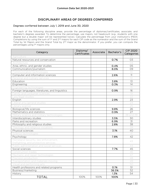# DISCIPLINARY AREAS OF DEGREES CONFERRED

#### <span id="page-34-0"></span>Degrees conferred between July 1, 2019 and June 30, 2020

For each of the following discipline areas, provide the percentage of diplomas/certificates, associate, and bachelor's degrees awarded. To determine the percentage, use majors, not headcount (e.g., students with one degree but a double major will be represented twice). Calculate the percentage from your institution's IPEDS Completions by using the sum of 1st and 2nd majors for each CIP code as the numerator and the sum of the Grand Total by 1st Majors and the Grand Total by 2nd major as the denominator. If you prefer, you can compute the percentages using 1st majors only.

| Category                                        | Diploma/<br>Certificates | Associate | Bachelor's | <b>CIP 2020</b><br>Categories |
|-------------------------------------------------|--------------------------|-----------|------------|-------------------------------|
| Agriculture                                     |                          |           |            | O1                            |
| Natural resources and conservation              |                          |           | 0.7%       | O3                            |
| Architecture                                    |                          |           |            | 04                            |
| Area, ethnic, and gender studies                |                          |           | 0.4%       | 05                            |
| Communication/journalism                        |                          |           | 8.0%       | 09                            |
| Communication technologies                      |                          |           |            | 10                            |
| Computer and information sciences               |                          |           | 2.6%       | 11                            |
| Personal and culinary services                  |                          |           |            | 12                            |
| Education                                       |                          |           | 3.8%       | 13                            |
| Engineering                                     |                          |           | 0.3%       | 14                            |
| Engineering technologies                        |                          |           |            | 15                            |
| Foreign languages, literatures, and linguistics |                          |           | 0.9%       | 16                            |
| Family and consumer sciences                    |                          |           |            | 19                            |
| Law/legal studies                               |                          |           |            | 22                            |
| English                                         |                          |           | 2.9%       | 23                            |
| Liberal arts/general studies                    |                          |           |            | 24                            |
| Library science                                 |                          |           |            | 25                            |
| Biological/life sciences                        |                          |           | 9.8%       | 26                            |
| Mathematics and statistics                      |                          |           | 0.9%       | 27                            |
| Military science and military technologies      |                          |           |            | 28 and 29                     |
| Interdisciplinary studies                       |                          |           | 3.5%       | 30                            |
| Parks and recreation                            |                          |           | 6.9%       | 31                            |
| Philosophy and religious studies                |                          |           | 2.8%       | 38                            |
| Theology and religious vocations                |                          |           |            | 39                            |
| Physical sciences                               |                          |           | 3.1%       | 40                            |
| Science technologies                            |                          |           |            | 41                            |
| Psychology                                      |                          |           | 7.8%       | 42                            |
| Homeland Security, law enforcement,             |                          |           |            | 43                            |
| firefighting, and protective services           |                          |           |            |                               |
| Public administration and social services       |                          |           |            | 44                            |
| Social sciences                                 |                          |           | 7.7%       | 45                            |
| Construction trades                             |                          |           |            | 46                            |
| Mechanic and repair technologies                |                          |           |            | 47                            |
| Precision production                            |                          |           |            | 48                            |
| Transportation and materials moving             |                          |           |            | 49                            |
| Visual and performing arts                      |                          |           |            | 50                            |
| Health professions and related programs         |                          |           | 0.1%       | 51                            |
| Business/marketing                              |                          |           | 36.5%      | 52                            |
| History                                         |                          |           | 1.3%       | 54                            |
| <b>TOTAL</b>                                    | 100%                     | 100%      | 100%       |                               |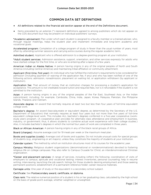# COMMON DATA SET DEFINITIONS

#### <span id="page-35-0"></span>♦ All definitions related to the financial aid section appear at the end of the Definitions document.

♦ Items preceded by an asterisk (\*) represent definitions agreed to among publishers which do not appear on the CDS document but may be present on individual publishers' surveys.

\*Academic advisement: Plan under which each student is assigned to a faculty member or a trained adviser, who, through regular meetings, helps the student plan and implement immediate and long-term academic and vocational goals.

Accelerated program: Completion of a college program of study in fewer than the usual number of years, most often by attending summer sessions and carrying extra courses during the regular academic term.

Admitted student: Applicant who is offered admission to a degree-granting program at your institution.

\*Adult student services: Admission assistance, support, orientation, and other services expressly for adults who have started college for the first time, or who are re-entering after a lapse of a few years.

American Indian or Alaska Native: A person having origins in any of the original peoples of North and South America (including Central America) and maintaining tribal affiliation or community attachment.

Applicant (first-time, first year): An individual who has fulfilled the institution's requirements to be considered for admission (including payment or waiving of the application fee, if any) and who has been notified of one of the following actions: admission, nonadmission, placement on waiting list, or application withdrawn (by applicant or institution).

Application fee: That amount of money that an institution charges for processing a student's application for acceptance. This amount is *not* creditable toward tuition and required fees, nor is it refundable if the student is not admitted to the institution.

Asian: A person having origins in any of the original peoples of the Far East, Southeast Asia, or the Indian subcontinent, including, for example, Cambodia, China, India, Japan, Korea, Malaysia, Pakistan, the Philippine Islands, Thailand, and Vietnam.

Associate degree: An award that normally requires at least two but less than four years of full-time equivalent college work.

Bachelor's degree: An award (baccalaureate or equivalent degree, as determined by the Secretary of the U.S. Department of Education) that normally requires at least four years but *not* more than five years of full-time equivalent college-level work. This includes ALL bachelor's degrees conferred in a five-year cooperative (workstudy plan) program. (A cooperative plan provides for alternate class attendance and employment in business, industry, or government; thus, it allows students to combine actual work experience with their college studies.) Also, it includes bachelor's degrees in which the normal four years of work are completed in three years.

Black or African American*:* A person having origins in any of the black racial groups of Africa.

Board (charges): Assume average cost for 19 meals per week or the maximum meal plan.

Books and supplies (costs): Average cost of books and supplies. Do not include unusual costs for special groups of students (e.g., engineering or art majors), unless they constitute the majority of students at your institution.

Calendar system: The method by which an institution structures most of its courses for the academic year.

Campus Ministry: Religious student organizations (denominational or nondenominational) devoted to fostering religious life on college campuses. May also refer to Campus Crusade for Christ, an interdenominational Christian organization.

\*Career and placement services: A range of services, including (often) the following: coordination of visits of employers to campus; aptitude and vocational testing; interest inventories, personal counseling; help in resume writing, interviewing, launching the job search; listings for those students desiring employment and those seeking permanent positions; establishment of a permanent reference folder; career resource materials.

Carnegie units: One year of study or the equivalent in a secondary school subject.

#### Certificate: See Postsecondary award, certificate, or diploma.

Class rank: The relative numerical position of a student in his or her graduating class, calculated by the high school on the basis of grade-point average, whether weighted or unweighted.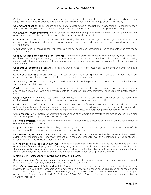College-preparatory program: Courses in academic subjects (English, history and social studies, foreign languages, mathematics, science, and the arts) that stress preparation for college or university study.

Common Application: The standard application form distributed by the National Association of Secondary School Principals for a large number of private colleges who are members of the Common Application Group.

\*Community service program: Referral center for students wishing to perform volunteer work in the community or participate in volunteer activities coordinated by academic departments.

Commuter: A student who lives off campus in housing that is not owned by, operated by, or affiliated with the college. This category includes students who commute from home and students who have moved to the area to attend college.

Clock hour: A unit of measure that represents an hour of scheduled instruction given to students. Also referred to as contact hour.

Continuous basis (for program enrollment): A calendar system classification that is used by institutions that enroll students at any time during the academic year. For example, a cosmetology school or a word processing school might allow students to enroll and begin studies at various times, with no requirement that classes begin on a certain date.

Cooperative education program: A program that provides for alternate class attendance and employment in business, industry, or government.

Cooperative housing: College-owned, -operated, or -affiliated housing in which students share room and board expenses and participate in household chores to reduce living expenses.

\*Counseling service: Activities designed to assist students in making plans and decisions related to their education, career, or personal development.

Credit: Recognition of attendance or performance in an instructional activity (course or program) that can be applied by a recipient toward the requirements for a degree, diploma, certificate, or recognized postsecondary credential.

Credit course: A course that, if successfully completed, can be applied toward the number of courses required for achieving a degree, diploma, certificate, or other recognized postsecondary credential.

Credit hour: A unit of measure representing an hour (50 minutes) of instruction over a 15-week period in a semester or trimester system or a 10-week period in a quarter system. It is applied toward the total number of hours needed for completing the requirements of a degree, diploma, certificate, or recognized postsecondary credential.

Cross-registration: A system whereby students enrolled at one institution may take courses at another institution without having to apply to the second institution.

Deferred admission: The practice of permitting admitted students to postpone enrollment, usually for a period of one academic term or one year.

Degree: An award conferred by a college, university, or other postsecondary education institution as official recognition for the successful completion of a program of studies.

Degree-seeking students: Students enrolled in courses for credit who are recognized by the institution as seeking a degree or recognized postsecondary credential. At the undergraduate level, this is intended to include students enrolled in vocational or occupational programs.

Differs by program (calendar system): A calendar system classification that is used by institutions that have occupational/vocational programs of varying length. These schools may enroll students at specific times depending on the program desired. For example, a school might offer a two-month program in January, March, May, September, and November; and a three-month program in January, April, and October.

#### Diploma: See Postsecondary award, certificate, or diploma.

Distance learning: An option for earning course credit at off-campus locations via cable television, internet, satellite classes, videotapes, correspondence courses, or other means.

Doctor's degree-research/scholarship: A Ph.D. or other doctor's degree that requires advanced work beyond the master's level, including the preparation and defense of a dissertation based on original research, or the planning and execution of an original project demonstrating substantial artistic or scholarly achievement. Some examples of this type of degree may include Ed.D., D.M.A., D.B.A., D.Sc., D.A., or D.M, and others, as designated by the awarding institution.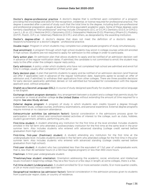Doctor's degree-professional practice: A doctor's degree that is conferred upon completion of a program providing the knowledge and skills for the recognition, credential, or license required for professional practice. The degree is awarded after a period of study such that the total time to the degree, including both pre-professional and professional preparation, equals at least six full-time equivalent academic years. Some of these degrees were formerly classified as "first-professional" and may include: Chiropractic (D.C. or D.C.M.); Dentistry (D.D.S. or D.M.D.); Law (L.L.B. or J.D.); Medicine (M.D.); Optometry (O.D.); Osteopathic Medicine (D.O); Pharmacy (Pharm.D.); Podiatry (D.P.M., Pod.D., D.P.); or, Veterinary Medicine (D.V.M.), and others, as designated by the awarding institution.

Doctor's degree-other: A doctor's degree that does not meet the definition of a doctor's degree research/scholarship or a doctor's degree - professional practice.

Double major: Program in which students may complete two undergraduate programs of study simultaneously.

Dual enrollment: A program through which high school students may enroll in college courses while still enrolled in high school. Students are not required to apply for admission to the college in order to participate.

Early action plan: An admission plan that allows students to apply and be notified of an admission decision well in advance of the regular notification dates. If admitted, the candidate is not committed to enroll; the student may reply to the offer under the college's regular reply policy.

Early admission: A policy under which students who have not completed high school are admitted and enroll full time in college, usually after completion of their junior year.

Early decision plan: A plan that permits students to apply and be notified of an admission decision (and financial aid offer if applicable) well in advance of the regular notification date. Applicants agree to accept an offer of admission and, if admitted, to withdraw their applications from other colleges. There are three possible decisions for early decision applicants: admitted, denied, or not admitted but forwarded for consideration with the regular applicant pool, without prejudice.

English as a Second Language (ESL): A course of study designed specifically for students whose native language is not English.

Exchange student program-domestic: Any arrangement between a student and a college that permits study for a semester or more at another college in the United States without extending the amount of time required for a degree. See also Study abroad.

External degree program: A program of study in which students earn credits toward a degree through independent study, college courses, proficiency examinations, and personal experience. External degree programs require minimal or no classroom attendance.

Extracurricular activities (as admission factor): Special consideration in the admissions process given for participation in both school and nonschool-related activities of interest to the college, such as clubs, hobbies, student government, athletics, performing arts, etc.

First-time student: A student attending any institution for the first time at the level enrolled. Includes students enrolled in the fall term who attended a postsecondary institution for the first time at the same level in the prior summer term. Also includes students who entered with advanced standing (college credit earned before graduation from high school).

First-time, first-year (freshman) student: A student attending any institution for the first time at the undergraduate level. Includes students enrolled in the fall term who attended college for the first time in the prior summer term. Also includes students who entered with advanced standing (college credits earned before graduation from high school).

First-year student: A student who has completed less than the equivalent of 1 full year of undergraduate work; that is, less than 30 semester hours (in a 120-hour degree program) or less than 900 clock hours.

Freshman: A first-year undergraduate student.

\*Freshman/new student orientation: Orientation addressing the academic, social, emotional, and intellectual issues involved in beginning college. May be a few hours or a few days in length; at some colleges, there is a fee.

Full-time student (undergraduate): A student enrolled for 12 or more semester credits, 12 or more quarter credits, or 24 or more clock hours a week each term.

Geographical residence (as admission factor): Special consideration in the admission process given to students from a particular region, state, or country of residence.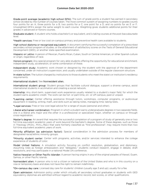Grade-point average (academic high school GPA): The sum of grade points a student has earned in secondary school divided by the number of courses taken. The most common system of assigning numbers to grades counts four points for an A, three points for a B, two points for a C, one point for a D, and no points for an E or F. Unweighted GPA's assign the same weight to each course. Weighting gives students additional points for their grades in advanced or honors courses.

Graduate student: A student who holds a bachelor's or equivalent, and is taking courses at the post-baccalaureate level.

\*Health services: Free or low cost on-campus primary and preventive health care available to students.

High school diploma or recognized equivalent: A document certifying the successful completion of a prescribed secondary school program of studies, or the attainment of satisfactory scores on the Tests of General Educational Development (GED), or another state-specified examination.

Hispanic or Latino: A person of Mexican, Puerto Rican, Cuban, South or Central American, or other Spanish culture or origin, regardless of race.

Honors program: Any special program for very able students offering the opportunity for educational enrichment, independent study, acceleration, or some combination of these.

Independent study: Academic work chosen or designed by the student with the approval of the department concerned, under an instructor's supervision, and usually undertaken outside of the regular classroom structure.

In-state tuition: The tuition charged by institutions to those students who meet the state's or institution's residency requirements.

#### International student: See Nonresident alien.

International student group: Student groups that facilitate cultural dialogue, support a diverse campus, assist international students in acclimation and creating a social network.

Internship: Any short-term, supervised work experience usually related to a student's major field, for which the student earns academic credit. The work can be full- or part-time, on- or off-campus, paid or unpaid.

\*Learning center: Center offering assistance through tutors, workshops, computer programs, or audiovisual equipment in reading, writing, math, and skills such as taking notes, managing time, taking tests.

\*Legal services: Free or low cost legal advice for a range of issues (personal and other).

Liberal arts/career combination: Program in which a student earns undergraduate degrees in two separate fields, one in a liberal arts major and the other in a professional or specialized major, whether on campus or through cross-registration.

Master's degree: An award that requires the successful completion of a program of study of generally one or two full-time equivalent academic years of work beyond the bachelor's degree. Some of these degrees, such as those in Theology (M.Div., M.H.L./Rav) that were formerly classified as "first-professional", may require more than two full-time equivalent academic years of work.

Minority affiliation (as admission factor): Special consideration in the admission process for members of designated racial/ethnic minority groups.

\*Minority student center: Center with programs, activities, and/or services intended to enhance the college experience of students of color.

Model United Nations: A simulation activity focusing on conflict resolution, globalization, and diplomacy. Assuming roles as foreign ambassadors and "delegates," students conduct research, engage in debate, draft resolutions, and may participate in a national Model UN conference.

Native Hawaiian or Other Pacific Islander: A person having origins in any of the original peoples of Hawaii, Guam, Samoa, or other Pacific Islands.

Nonresident alien: A person who is not a citizen or national of the United States and who is in this country on a visa or temporary basis and does not have the right to remain indefinitely.

\*On-campus day care: Licensed day care for students' children (usually age 3 and up); usually for a fee.

Open admission: Admission policy under which virtually all secondary school graduates or students with GED equivalency diplomas are admitted without regard to academic record, test scores, or other qualifications.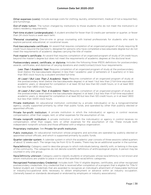Other expenses (costs): Include average costs for clothing, laundry, entertainment, medical (if not a required fee), and furnishings.

Out-of-state tuition: The tuition charged by institutions to those students who do not meet the institution's or state's residency requirements.

Part-time student (undergraduate): A student enrolled for fewer than 12 credits per semester or quarter, or fewer than 24 clock hours a week each term.

\*Personal counseling: One-on-one or group counseling with trained professionals for students who want to explore personal, educational, or vocational issues.

Post-baccalaureate certificate: An award that requires completion of an organized program of study requiring 18 credit hours beyond the bachelor's; designed for persons who have completed a baccalaureate degree but do not meet the requirements of academic degrees carrying the title of master.

Post-master's certificate: An award that requires completion of an organized program of study of 24 credit hours beyond the master's degree but does not meet the requirements of academic degrees at the doctoral level.

Postsecondary award, certificate, or diploma: Includes the following three IPEDS definitions for postsecondary awards, certificates, and diplomas of varying durations and credit/contact/clock hour requirements:

Less Than 1 Academic Year: Requires completion of an organized program of study at the postsecondary level (below the baccalaureate degree) in less than 1 academic year (2 semesters or 3 quarters) or in less than 900 clock hours by a student enrolled full-time.

At Least 1 But Less Than 2 Academic Years: Requires completion of an organized program of study at the postsecondary level (below the baccalaureate degree) in at least 1 but less than 2 full-time equivalent academic years, or designed for completion in at least 30 but less than 60 credit hours, or in at least 900 but less than 1,800 clock hours.

At Least 2 But Less Than 4 Academic Years: Requires completion of an organized program of study at the postsecondary level (below the baccalaureate degree) in at least 2 but less than 4 full-time equivalent academic years, or designed for completion in at least 60 but less than 120 credit hours, or in at least 1,800 but less than 3,600 clock hours.

Private institution: An educational institution controlled by a private individual(s) or by a nongovernmental agency, usually supported primarily by other than public funds, and operated by other than publicly elected or appointed officials.

Private for-profit institution: A private institution in which the individual(s) or agency in control receives compensation, other than wages, rent, or other expenses for the assumption of risk.

Private nonprofit institution: A private institution in which the individual(s) or agency in control receives no compensation, other than wages, rent, or other expenses for the assumption of risk. These include both independent nonprofit schools and those affiliated with a religious organization.

#### Proprietary institution: See Private for-profit institution.

Public institution: An educational institution whose programs and activities are operated by publicly elected or appointed school officials, and which is supported primarily by public funds.

Quarter calendar system: A calendar system in which the academic year consists of three sessions called quarters of about 12 weeks each. The range may be from 10 to 15 weeks. There may be an additional quarter in the summer.

Race/ethnicity: Category used to describe groups to which individuals belong, identify with, or belong in the eyes of the community. The categories do not denote scientific definitions of anthropological origins. A person may be counted in only one group.

Race/ethnicity unknown: Category used to classify students or employees whose race/ethnicity is not known and whom institutions are unable to place in one of the specified racial/ethnic categories.

Recognized Postsecondary Credential: Includes both Title IV eligible degrees, certificates, and other recognized postsecondary credentials. Any credential that is received after completion of a program that is eligible for Title IV federal student aid. Credentials that are awarded to recognize an individual's attainment of measurable technical or industry/occupational skills necessary to obtain employment or advance within an industry occupation. (Generally based on standards developed or endorsed by employers or industry associations).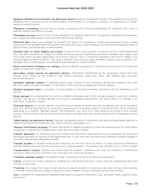Religious affiliation/commitment (as admission factor): Special consideration given in the admission process for affiliation with a certain church or faith/religion, commitment to a religious vocation, or observance of certain religious tenets/lifestyle.

\*Religious counseling: One-on-one or group counseling with trained professionals for students who want to explore religious problems or issues.

\*Remedial services: Instructional courses designed for students deficient in the general competencies necessary for a regular postsecondary curriculum and educational setting.

Required fees: Fixed sum charged to students for items not covered by tuition and required of such a large proportion of all students that the student who does NOT pay is the exception. Do not include application fees or optional fees such as lab fees or parking fees.

Resident alien or other eligible non-citizen: A person who is not a citizen or national of the United States and who has been admitted as a legal immigrant for the purpose of obtaining permanent resident alien status (and who holds either an alien registration card [Form I-551 or I-151], a Temporary Resident Card [Form I-688], or an Arrival-Departure Record [Form I-94] with a notation that conveys legal immigrant status, such as Section 207 Refugee, Section 208 Asylee, Conditional Entrant Parolee or Cuban-Haitian).

Room and board (charges)—on campus: Assume double occupancy in institutional housing and 19 meals per week (or maximum meal plan).

Secondary school record (as admission factor): Information maintained by the secondary school that may include such things as the student's high school transcript, class rank, GPA, and teacher and counselor recommendations.

Semester calendar system: A calendar system that consists of two semesters during the academic year with about 16 weeks for each semester of instruction. There may be an additional summer session.

Student-designed major: A program of study based on individual interests, designed with the assistance of an adviser.

Study abroad: Any arrangement by which a student completes part of the college program studying in another country. Can be at a campus abroad or through a cooperative agreement with some other U.S. college or an institution of another country.

\*Summer session: A summer session is shorter than a regular semester and not considered part of the academic year. It is not the third term of an institution operating on a trimester system or the fourth term of an institution operating on a quarter calendar system. The institution may have 2 or more sessions occurring in the summer months. Some schools, such as vocational and beauty schools, have year-round classes with no separate summer session.

Talent/ability (as admission factor): Special consideration given to students with demonstrated talent/abilities in areas of interest to the institution (e.g., sports, the arts, languages, etc.).

Teacher certification program: Program designed to prepare students to meet the requirements for certification as teachers in elementary, middle/junior high, and secondary schools.

Transfer applicant: An individual who has fulfilled the institution's requirements to be considered for admission (including payment or waiving of the application fee, if any) and who has previously attended another college or university and earned college-level credit.

Transfer student: A student entering the institution for the first time but known to have previously attended a postsecondary institution at the same level (e.g., undergraduate). The student may transfer with or without credit.

Transportation (costs): Assume two round trips to student's hometown per year for students in institutional housing or daily travel to and from your institution for commuter students.

Trimester calendar system: An academic year consisting of 3 terms of about 15 weeks each.

Tuition: Amount of money charged to students for instructional services. Tuition may be charged per term, per course, or per credit.

\*Tutoring: May range from one-on-one tutoring in specific subjects to tutoring in an area such as math, reading, or writing. Most tutors are college students; at some colleges, they are specially trained and certified.

Unit: a standard of measurement representing hours of academic instruction (e.g., semester credit, quarter credit, clock hour).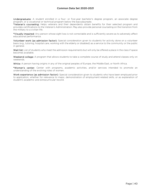Undergraduate: A student enrolled in a four- or five-year bachelor's degree program, an associate degree program, or a vocational or technical program below the baccalaureate.

\*Veteran's counseling: Helps veterans and their dependents obtain benefits for their selected program and provides certifications to the Veteran's Administration. May also provide personal counseling on the transition from the military to a civilian life.

\*Visually impaired: Any person whose sight loss is not correctable and is sufficiently severe as to adversely affect educational performance.

Volunteer work (as admission factor): Special consideration given to students for activity done on a volunteer basis (e.g., tutoring, hospital care, working with the elderly or disabled) as a service to the community or the public in general.

Wait list: List of students who meet the admission requirements but will only be offered a place in the class if space becomes available.

Weekend college: A program that allows students to take a complete course of study and attend classes only on weekends.

White: A person having origins in any of the original peoples of Europe, the Middle East, or North Africa.

\*Women's center: Center with programs, academic activities, and/or services intended to promote an understanding of the evolving roles of women.

Work experience (as admission factor): Special consideration given to students who have been employed prior to application, whether for relevance to major, demonstration of employment-related skills, or as explanation of student's academic and extracurricular record.